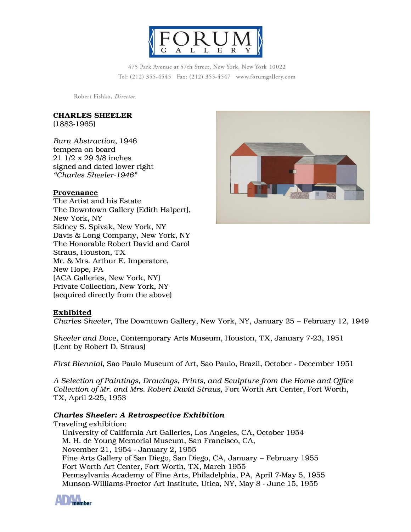

475 Park Avenue at 57th Street, New York, New York 10022 Tel: (212) 355-4545 Fax: (212) 355-4547 www.forumgallery.com

Robert Fishko, Director

### **CHARLES SHEELER**

(1883-1965)

*Barn Abstraction*, 1946 tempera on board 21 1/2 x 29 3/8 inches signed and dated lower right *"Charles Sheeler-1946"*

#### **Provenance**

The Artist and his Estate The Downtown Gallery (Edith Halpert), New York, NY Sidney S. Spivak, New York, NY Davis & Long Company, New York, NY The Honorable Robert David and Carol Straus, Houston, TX Mr. & Mrs. Arthur E. Imperatore, New Hope, PA (ACA Galleries, New York, NY) Private Collection, New York, NY (acquired directly from the above)



#### **Exhibited**

*Charles Sheeler*, The Downtown Gallery, New York, NY, January 25 – February 12, 1949

*Sheeler and Dove*, Contemporary Arts Museum, Houston, TX, January 7-23, 1951 (Lent by Robert D. Straus)

*First Biennial*, Sao Paulo Museum of Art, Sao Paulo, Brazil, October - December 1951

*A Selection of Paintings, Drawings, Prints, and Sculpture from the Home and Office Collection of Mr. and Mrs. Robert David Straus,* Fort Worth Art Center, Fort Worth, TX, April 2-25, 1953

#### *Charles Sheeler: A Retrospective Exhibition*

Traveling exhibition: University of California Art Galleries, Los Angeles, CA, October 1954 M. H. de Young Memorial Museum, San Francisco, CA, November 21, 1954 - January 2, 1955 Fine Arts Gallery of San Diego, San Diego, CA, January – February 1955 Fort Worth Art Center, Fort Worth, TX, March 1955 Pennsylvania Academy of Fine Arts, Philadelphia, PA, April 7-May 5, 1955 Munson-Williams-Proctor Art Institute, Utica, NY, May 8 - June 15, 1955

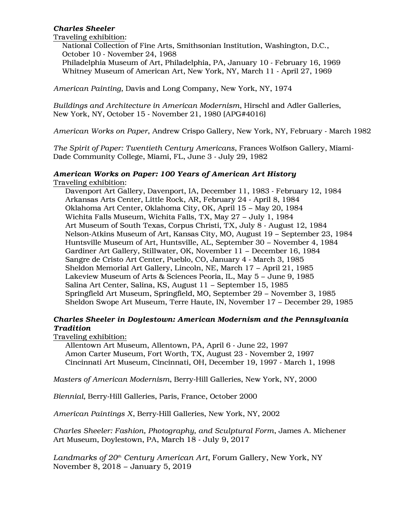# *Charles Sheeler*

Traveling exhibition:

National Collection of Fine Arts, Smithsonian Institution, Washington, D.C., October 10 - November 24, 1968

Philadelphia Museum of Art, Philadelphia, PA, January 10 - February 16, 1969 Whitney Museum of American Art, New York, NY, March 11 - April 27, 1969

*American Painting,* Davis and Long Company, New York, NY, 1974

*Buildings and Architecture in American Modernism*, Hirschl and Adler Galleries, New York, NY, October 15 - November 21, 1980 (APG#4016)

*American Works on Paper*, Andrew Crispo Gallery, New York, NY, February - March 1982

*The Spirit of Paper: Twentieth Century Americans*, Frances Wolfson Gallery, Miami-Dade Community College, Miami, FL, June 3 - July 29, 1982

### *American Works on Paper: 100 Years of American Art History* Traveling exhibition:

Davenport Art Gallery, Davenport, IA, December 11, 1983 - February 12, 1984 Arkansas Arts Center, Little Rock, AR, February 24 - April 8, 1984 Oklahoma Art Center, Oklahoma City, OK, April 15 – May 20, 1984 Wichita Falls Museum, Wichita Falls, TX, May 27 – July 1, 1984 Art Museum of South Texas, Corpus Christi, TX, July 8 - August 12, 1984 Nelson-Atkins Museum of Art, Kansas City, MO, August 19 – September 23, 1984 Huntsville Museum of Art, Huntsville, AL, September 30 – November 4, 1984 Gardiner Art Gallery, Stillwater, OK, November 11 – December 16, 1984 Sangre de Cristo Art Center, Pueblo, CO, January 4 - March 3, 1985 Sheldon Memorial Art Gallery, Lincoln, NE, March 17 – April 21, 1985 Lakeview Museum of Arts & Sciences Peoria, IL, May 5 – June 9, 1985 Salina Art Center, Salina, KS, August 11 – September 15, 1985 Springfield Art Museum, Springfield, MO, September 29 – November 3, 1985 Sheldon Swope Art Museum, Terre Haute, IN, November 17 – December 29, 1985

# *Charles Sheeler in Doylestown: American Modernism and the Pennsylvania Tradition*

Traveling exhibition:

Allentown Art Museum, Allentown, PA, April 6 - June 22, 1997 Amon Carter Museum, Fort Worth, TX, August 23 - November 2, 1997 Cincinnati Art Museum, Cincinnati, OH, December 19, 1997 - March 1, 1998

*Masters of American Modernism*, Berry-Hill Galleries, New York, NY, 2000

*Biennial,* Berry-Hill Galleries, Paris, France, October 2000

*American Paintings X*, Berry-Hill Galleries, New York, NY, 2002

*Charles Sheeler: Fashion, Photography, and Sculptural Form*, James A. Michener Art Museum, Doylestown, PA, March 18 - July 9, 2017

*Landmarks of 20th Century American Art*, Forum Gallery, New York, NY November 8, 2018 – January 5, 2019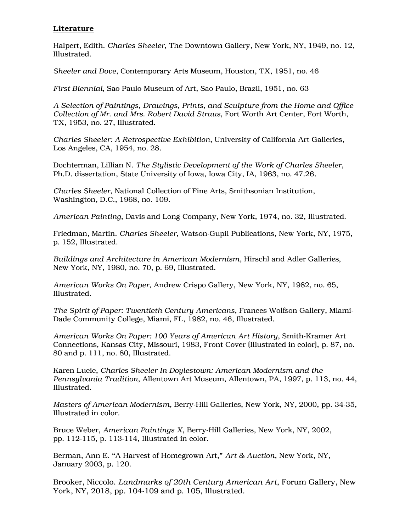# **Literature**

Halpert, Edith. *Charles Sheeler*, The Downtown Gallery, New York, NY, 1949, no. 12, Illustrated.

*Sheeler and Dove*, Contemporary Arts Museum, Houston, TX, 1951, no. 46

*First Biennial*, Sao Paulo Museum of Art, Sao Paulo, Brazil, 1951, no. 63

*A Selection of Paintings, Drawings, Prints, and Sculpture from the Home and Office Collection of Mr. and Mrs. Robert David Straus*, Fort Worth Art Center, Fort Worth, TX, 1953, no. 27, Illustrated.

*Charles Sheeler: A Retrospective Exhibition*, University of California Art Galleries, Los Angeles, CA, 1954, no. 28.

Dochterman, Lillian N. *The Stylistic Development of the Work of Charles Sheeler*, Ph.D. dissertation, State University of Iowa, Iowa City, IA, 1963, no. 47.26.

*Charles Sheeler*, National Collection of Fine Arts, Smithsonian Institution, Washington, D.C., 1968, no. 109.

*American Painting*, Davis and Long Company, New York, 1974, no. 32, Illustrated.

Friedman, Martin. *Charles Sheeler*, Watson-Gupil Publications, New York, NY, 1975, p. 152, Illustrated.

*Buildings and Architecture in American Modernism*, Hirschl and Adler Galleries, New York, NY, 1980, no. 70, p. 69, Illustrated.

*American Works On Paper*, Andrew Crispo Gallery, New York, NY, 1982, no. 65, Illustrated.

*The Spirit of Paper: Twentieth Century Americans*, Frances Wolfson Gallery, Miami-Dade Community College, Miami, FL, 1982, no. 46, Illustrated.

*American Works On Paper: 100 Years of American Art History*, Smith-Kramer Art Connections, Kansas City, Missouri, 1983, Front Cover (Illustrated in color), p. 87, no. 80 and p. 111, no. 80, Illustrated.

Karen Lucic, *Charles Sheeler In Doylestown: American Modernism and the Pennsylvania Tradition*, Allentown Art Museum, Allentown, PA, 1997, p. 113, no. 44, Illustrated.

*Masters of American Modernism*, Berry-Hill Galleries, New York, NY, 2000, pp. 34-35, Illustrated in color.

Bruce Weber, *American Paintings X*, Berry-Hill Galleries, New York, NY, 2002, pp. 112-115, p. 113-114, Illustrated in color.

Berman, Ann E. "A Harvest of Homegrown Art," *Art & Auction*, New York, NY, January 2003, p. 120.

Brooker, Niccolo. *Landmarks of 20th Century American Art*, Forum Gallery, New York, NY, 2018, pp. 104-109 and p. 105, Illustrated.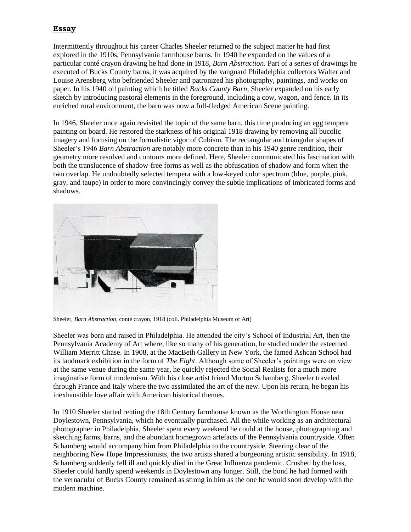# **Essay**

Intermittently throughout his career Charles Sheeler returned to the subject matter he had first explored in the 1910s, Pennsylvania farmhouse barns. In 1940 he expanded on the values of a particular conté crayon drawing he had done in 1918, *Barn Abstraction.* Part of a series of drawings he executed of Bucks County barns, it was acquired by the vanguard Philadelphia collectors Walter and Louise Arensberg who befriended Sheeler and patronized his photography, paintings, and works on paper. In his 1940 oil painting which he titled *Bucks County Barn*, Sheeler expanded on his early sketch by introducing pastoral elements in the foreground, including a cow, wagon, and fence. In its enriched rural environment, the barn was now a full-fledged American Scene painting.

In 1946, Sheeler once again revisited the topic of the same barn, this time producing an egg tempera painting on board. He restored the starkness of his original 1918 drawing by removing all bucolic imagery and focusing on the formalistic vigor of Cubism. The rectangular and triangular shapes of Sheeler's 1946 *Barn Abstraction* are notably more concrete than in his 1940 genre rendition, their geometry more resolved and contours more defined. Here, Sheeler communicated his fascination with both the translucence of shadow-free forms as well as the obfuscation of shadow and form when the two overlap. He undoubtedly selected tempera with a low-keyed color spectrum (blue, purple, pink, gray, and taupe) in order to more convincingly convey the subtle implications of imbricated forms and shadows.



Sheeler, *Barn Abstraction*, conté crayon, 1918 (coll. Philadelphia Museum of Art)

Sheeler was born and raised in Philadelphia. He attended the city's School of Industrial Art, then the Pennsylvania Academy of Art where, like so many of his generation, he studied under the esteemed William Merritt Chase. In 1908, at the MacBeth Gallery in New York, the famed Ashcan School had its landmark exhibition in the form of *The Eight*. Although some of Sheeler's paintings were on view at the same venue during the same year, he quickly rejected the Social Realists for a much more imaginative form of modernism. With his close artist friend Morton Schamberg, Sheeler traveled through France and Italy where the two assimilated the art of the new. Upon his return, he began his inexhaustible love affair with American historical themes.

In 1910 Sheeler started renting the 18th Century farmhouse known as the Worthington House near Doylestown, Pennsylvania, which he eventually purchased. All the while working as an architectural photographer in Philadelphia, Sheeler spent every weekend he could at the house, photographing and sketching farms, barns, and the abundant homegrown artefacts of the Pennsylvania countryside. Often Schamberg would accompany him from Philadelphia to the countryside. Steering clear of the neighboring New Hope Impressionists, the two artists shared a burgeoning artistic sensibility. In 1918, Schamberg suddenly fell ill and quickly died in the Great Influenza pandemic. Crushed by the loss, Sheeler could hardly spend weekends in Doylestown any longer. Still, the bond he had formed with the vernacular of Bucks County remained as strong in him as the one he would soon develop with the modern machine.